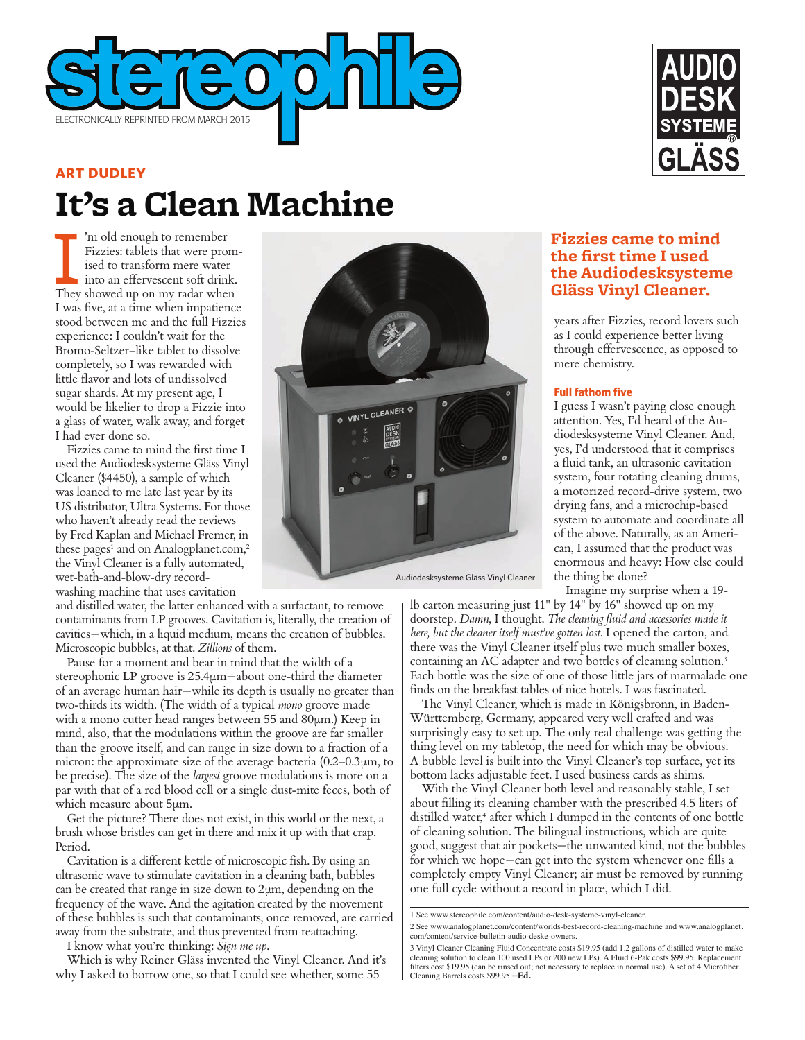

# **It's a Clean Machine ART DUDLEY**

Im old enough to remember<br>Fizzies: tablets that were prom<br>ised to transform mere water<br>into an effervescent soft drink.<br>They showed up on my radar when 'm old enough to remember Fizzies: tablets that were promised to transform mere water into an effervescent soft drink. I was five, at a time when impatience stood between me and the full Fizzies experience: I couldn't wait for the Bromo-Seltzer–like tablet to dissolve completely, so I was rewarded with little flavor and lots of undissolved sugar shards. At my present age, I would be likelier to drop a Fizzie into a glass of water, walk away, and forget I had ever done so.

Fizzies came to mind the first time I used the Audiodesksysteme Gläss Vinyl Cleaner (\$4450), a sample of which was loaned to me late last year by its US distributor, Ultra Systems. For those who haven't already read the reviews by Fred Kaplan and Michael Fremer, in these pages<sup>1</sup> and on Analogplanet.com,<sup>2</sup> the Vinyl Cleaner is a fully automated, wet-bath-and-blow-dry recordwashing machine that uses cavitation

and distilled water, the latter enhanced with a surfactant, to remove contaminants from LP grooves. Cavitation is, literally, the creation of cavities—which, in a liquid medium, means the creation of bubbles. Microscopic bubbles, at that. *Zillions* of them.

Pause for a moment and bear in mind that the width of a stereophonic LP groove is 25.4µm—about one-third the diameter of an average human hair—while its depth is usually no greater than two-thirds its width. (The width of a typical *mono* groove made with a mono cutter head ranges between 55 and 80µm.) Keep in mind, also, that the modulations within the groove are far smaller than the groove itself, and can range in size down to a fraction of a micron: the approximate size of the average bacteria  $(0.2-0.3\mu m, t_0)$ be precise). The size of the *largest* groove modulations is more on a par with that of a red blood cell or a single dust-mite feces, both of which measure about 5µm.

Get the picture? There does not exist, in this world or the next, a brush whose bristles can get in there and mix it up with that crap. Period.

Cavitation is a different kettle of microscopic fish. By using an ultrasonic wave to stimulate cavitation in a cleaning bath, bubbles can be created that range in size down to 2µm, depending on the frequency of the wave. And the agitation created by the movement of these bubbles is such that contaminants, once removed, are carried away from the substrate, and thus prevented from reattaching.

I know what you're thinking: *Sign me up*.

Which is why Reiner Gläss invented the Vinyl Cleaner. And it's why I asked to borrow one, so that I could see whether, some 55





## **Fizzies came to mind the first time I used the Audiodesksysteme Gläss Vinyl Cleaner.**

years after Fizzies, record lovers such as I could experience better living through effervescence, as opposed to mere chemistry.

#### **Full fathom five**

I guess I wasn't paying close enough attention. Yes, I'd heard of the Audiodesksysteme Vinyl Cleaner. And, yes, I'd understood that it comprises a fluid tank, an ultrasonic cavitation system, four rotating cleaning drums, a motorized record-drive system, two drying fans, and a microchip-based system to automate and coordinate all of the above. Naturally, as an American, I assumed that the product was enormous and heavy: How else could the thing be done?

Imagine my surprise when a 19-

lb carton measuring just 11" by 14" by 16" showed up on my doorstep. *Damn*, I thought. *The cleaning fluid and accessories made it here, but the cleaner itself must've gotten lost.* I opened the carton, and there was the Vinyl Cleaner itself plus two much smaller boxes, containing an AC adapter and two bottles of cleaning solution.3 Each bottle was the size of one of those little jars of marmalade one finds on the breakfast tables of nice hotels. I was fascinated.

The Vinyl Cleaner, which is made in Königsbronn, in Baden-Württemberg, Germany, appeared very well crafted and was surprisingly easy to set up. The only real challenge was getting the thing level on my tabletop, the need for which may be obvious. A bubble level is built into the Vinyl Cleaner's top surface, yet its bottom lacks adjustable feet. I used business cards as shims.

With the Vinyl Cleaner both level and reasonably stable, I set about filling its cleaning chamber with the prescribed 4.5 liters of distilled water,<sup>4</sup> after which I dumped in the contents of one bottle of cleaning solution. The bilingual instructions, which are quite good, suggest that air pockets—the unwanted kind, not the bubbles for which we hope—can get into the system whenever one fills a completely empty Vinyl Cleaner; air must be removed by running one full cycle without a record in place, which I did.

2 See www.analogplanet.com/content/worlds-best-record-cleaning-machine and www.analogplanet. com/content/service-bulletin-audio-deske-owners.

<sup>1</sup> See www.stereophile.com/content/audio-desk-systeme-vinyl-cleaner.

<sup>3</sup> Vinyl Cleaner Cleaning Fluid Concentrate costs \$19.95 (add 1.2 gallons of distilled water to make cleaning solution to clean 100 used LPs or 200 new LPs). A Fluid 6-Pak costs \$99.95. Replacement filters cost \$19.95 (can be rinsed out; not necessary to replace in normal use). A set of 4 Microfiber Cleaning Barrels costs \$99.95.**—Ed.**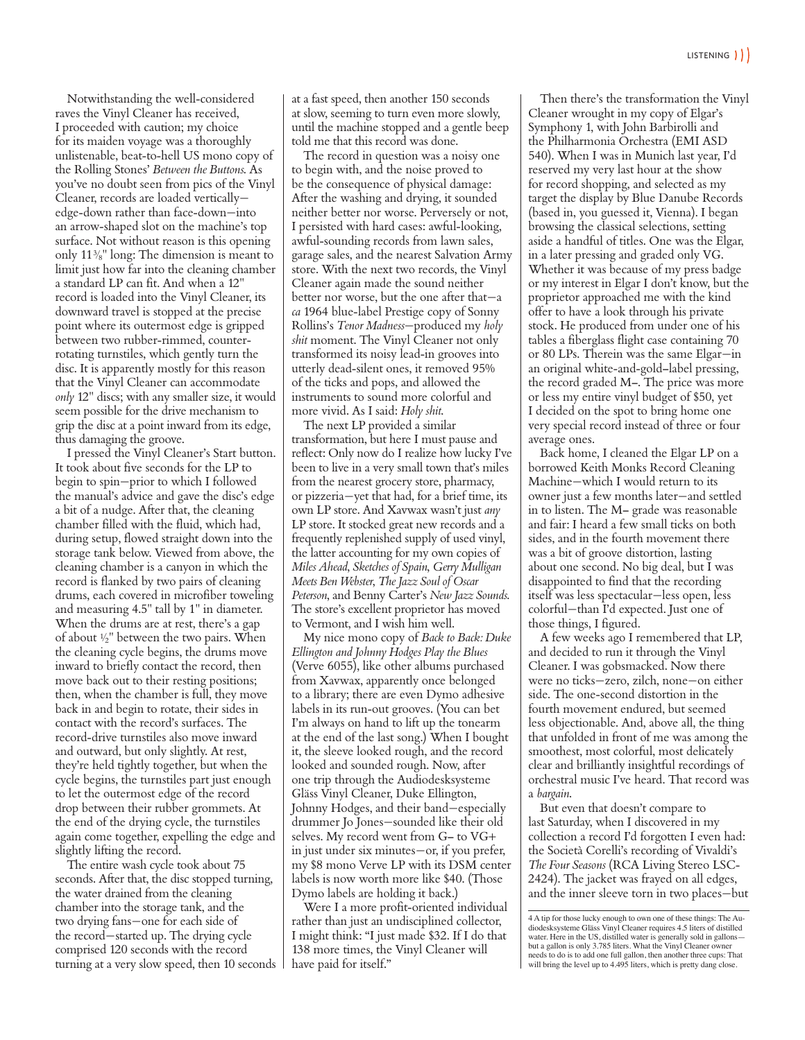Notwithstanding the well-considered raves the Vinyl Cleaner has received, I proceeded with caution; my choice for its maiden voyage was a thoroughly unlistenable, beat-to-hell US mono copy of the Rolling Stones' *Between the Buttons*. As you've no doubt seen from pics of the Vinyl Cleaner, records are loaded vertically edge-down rather than face-down—into an arrow-shaped slot on the machine's top surface. Not without reason is this opening only  $11\frac{3}{8}$ " long: The dimension is meant to limit just how far into the cleaning chamber a standard LP can fit. And when a 12" record is loaded into the Vinyl Cleaner, its downward travel is stopped at the precise point where its outermost edge is gripped between two rubber-rimmed, counterrotating turnstiles, which gently turn the disc. It is apparently mostly for this reason that the Vinyl Cleaner can accommodate *only* 12" discs; with any smaller size, it would seem possible for the drive mechanism to grip the disc at a point inward from its edge, thus damaging the groove.

I pressed the Vinyl Cleaner's Start button. It took about five seconds for the LP to begin to spin—prior to which I followed the manual's advice and gave the disc's edge a bit of a nudge. After that, the cleaning chamber filled with the fluid, which had, during setup, flowed straight down into the storage tank below. Viewed from above, the cleaning chamber is a canyon in which the record is flanked by two pairs of cleaning drums, each covered in microfiber toweling and measuring 4.5" tall by 1" in diameter. When the drums are at rest, there's a gap of about  $\frac{1}{2}$ " between the two pairs. When the cleaning cycle begins, the drums move inward to briefly contact the record, then move back out to their resting positions; then, when the chamber is full, they move back in and begin to rotate, their sides in contact with the record's surfaces. The record-drive turnstiles also move inward and outward, but only slightly. At rest, they're held tightly together, but when the cycle begins, the turnstiles part just enough to let the outermost edge of the record drop between their rubber grommets. At the end of the drying cycle, the turnstiles again come together, expelling the edge and slightly lifting the record.

The entire wash cycle took about 75 seconds. After that, the disc stopped turning, the water drained from the cleaning chamber into the storage tank, and the two drying fans—one for each side of the record—started up. The drying cycle comprised 120 seconds with the record turning at a very slow speed, then 10 seconds

at a fast speed, then another 150 seconds at slow, seeming to turn even more slowly, until the machine stopped and a gentle beep told me that this record was done.

The record in question was a noisy one to begin with, and the noise proved to be the consequence of physical damage: After the washing and drying, it sounded neither better nor worse. Perversely or not, I persisted with hard cases: awful-looking, awful-sounding records from lawn sales, garage sales, and the nearest Salvation Army store. With the next two records, the Vinyl Cleaner again made the sound neither better nor worse, but the one after that—a *ca* 1964 blue-label Prestige copy of Sonny Rollins's *Tenor Madness*—produced my *holy shit* moment. The Vinyl Cleaner not only transformed its noisy lead-in grooves into utterly dead-silent ones, it removed 95% of the ticks and pops, and allowed the instruments to sound more colorful and more vivid. As I said: *Holy shit*.

The next LP provided a similar transformation, but here I must pause and reflect: Only now do I realize how lucky I've been to live in a very small town that's miles from the nearest grocery store, pharmacy, or pizzeria—yet that had, for a brief time, its own LP store. And Xavwax wasn't just *any* LP store. It stocked great new records and a frequently replenished supply of used vinyl, the latter accounting for my own copies of *Miles Ahead*, *Sketches of Spain*, *Gerry Mulligan Meets Ben Webster*, *The Jazz Soul of Oscar Peterson*, and Benny Carter's *New Jazz Sounds*. The store's excellent proprietor has moved to Vermont, and I wish him well.

My nice mono copy of *Back to Back: Duke Ellington and Johnny Hodges Play the Blues* (Verve 6055), like other albums purchased from Xavwax, apparently once belonged to a library; there are even Dymo adhesive labels in its run-out grooves. (You can bet I'm always on hand to lift up the tonearm at the end of the last song.) When I bought it, the sleeve looked rough, and the record looked and sounded rough. Now, after one trip through the Audiodesksysteme Gläss Vinyl Cleaner, Duke Ellington, Johnny Hodges, and their band—especially drummer Jo Jones—sounded like their old selves. My record went from G– to VG+ in just under six minutes—or, if you prefer, my \$8 mono Verve LP with its DSM center labels is now worth more like \$40. (Those Dymo labels are holding it back.)

Were I a more profit-oriented individual rather than just an undisciplined collector, I might think: "I just made \$32. If I do that 138 more times, the Vinyl Cleaner will have paid for itself."

Then there's the transformation the Vinyl Cleaner wrought in my copy of Elgar's Symphony 1, with John Barbirolli and the Philharmonia Orchestra (EMI ASD 540). When I was in Munich last year, I'd reserved my very last hour at the show for record shopping, and selected as my target the display by Blue Danube Records (based in, you guessed it, Vienna). I began browsing the classical selections, setting aside a handful of titles. One was the Elgar, in a later pressing and graded only VG. Whether it was because of my press badge or my interest in Elgar I don't know, but the proprietor approached me with the kind offer to have a look through his private stock. He produced from under one of his tables a fiberglass flight case containing 70 or 80 LPs. Therein was the same Elgar—in an original white-and-gold–label pressing, the record graded M–. The price was more or less my entire vinyl budget of \$50, yet I decided on the spot to bring home one very special record instead of three or four average ones.

Back home, I cleaned the Elgar LP on a borrowed Keith Monks Record Cleaning Machine—which I would return to its owner just a few months later—and settled in to listen. The M– grade was reasonable and fair: I heard a few small ticks on both sides, and in the fourth movement there was a bit of groove distortion, lasting about one second. No big deal, but I was disappointed to find that the recording itself was less spectacular—less open, less colorful—than I'd expected. Just one of those things, I figured.

A few weeks ago I remembered that LP, and decided to run it through the Vinyl Cleaner. I was gobsmacked. Now there were no ticks—zero, zilch, none—on either side. The one-second distortion in the fourth movement endured, but seemed less objectionable. And, above all, the thing that unfolded in front of me was among the smoothest, most colorful, most delicately clear and brilliantly insightful recordings of orchestral music I've heard. That record was a *bargain*.

But even that doesn't compare to last Saturday, when I discovered in my collection a record I'd forgotten I even had: the Società Corelli's recording of Vivaldi's *The Four Seasons* (RCA Living Stereo LSC-2424). The jacket was frayed on all edges, and the inner sleeve torn in two places—but

<sup>4</sup> A tip for those lucky enough to own one of these things: The Audiodesksysteme Gläss Vinyl Cleaner requires 4.5 liters of distilled water. Here in the US, distilled water is generally sold in gallons but a gallon is only 3.785 liters. What the Vinyl Cleaner owner needs to do is to add one full gallon, then another three cups: That will bring the level up to 4.495 liters, which is pretty dang close.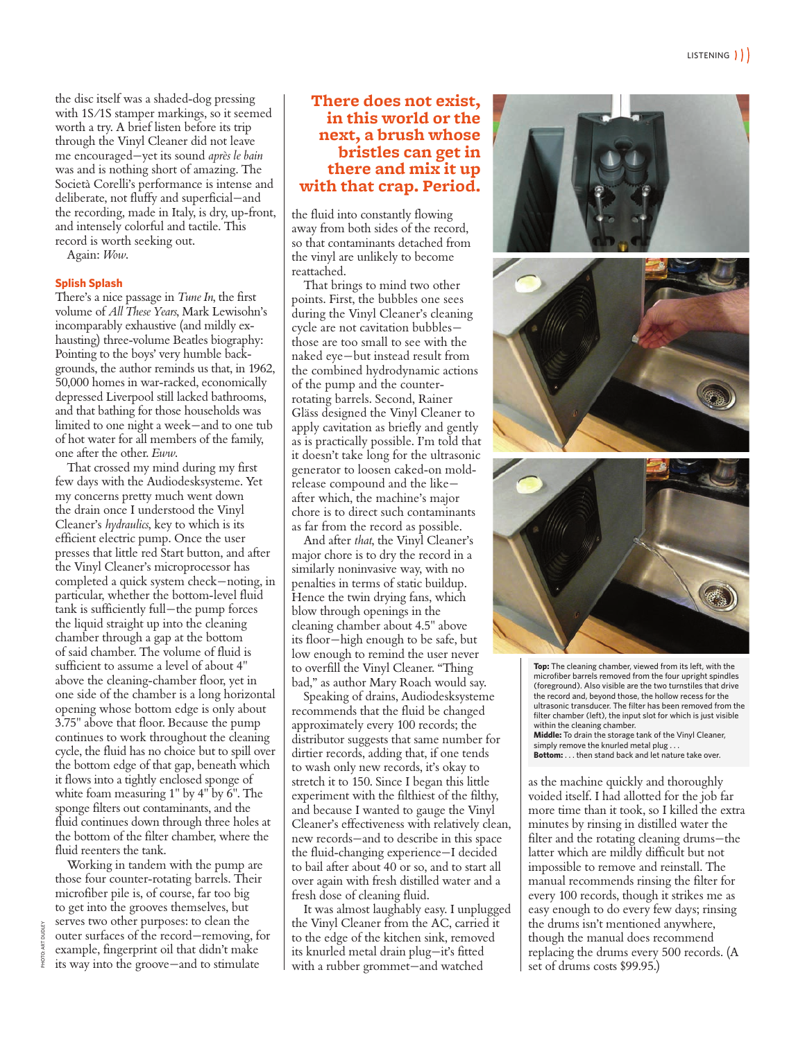the disc itself was a shaded-dog pressing with 1S/1S stamper markings, so it seemed worth a try. A brief listen before its trip through the Vinyl Cleaner did not leave me encouraged—yet its sound *après le bain* was and is nothing short of amazing. The Società Corelli's performance is intense and deliberate, not fluffy and superficial—and the recording, made in Italy, is dry, up-front, and intensely colorful and tactile. This record is worth seeking out.

Again: *Wow*.

#### **Splish Splash**

There's a nice passage in *Tune In*, the first volume of *All These Years*, Mark Lewisohn's incomparably exhaustive (and mildly exhausting) three-volume Beatles biography: Pointing to the boys' very humble backgrounds, the author reminds us that, in 1962, 50,000 homes in war-racked, economically depressed Liverpool still lacked bathrooms, and that bathing for those households was limited to one night a week—and to one tub of hot water for all members of the family, one after the other. *Eww*.

That crossed my mind during my first few days with the Audiodesksysteme. Yet my concerns pretty much went down the drain once I understood the Vinyl Cleaner's *hydraulics*, key to which is its efficient electric pump. Once the user presses that little red Start button, and after the Vinyl Cleaner's microprocessor has completed a quick system check—noting, in particular, whether the bottom-level fluid tank is sufficiently full—the pump forces the liquid straight up into the cleaning chamber through a gap at the bottom of said chamber. The volume of fluid is sufficient to assume a level of about 4" above the cleaning-chamber floor, yet in one side of the chamber is a long horizontal opening whose bottom edge is only about 3.75" above that floor. Because the pump continues to work throughout the cleaning cycle, the fluid has no choice but to spill over the bottom edge of that gap, beneath which it flows into a tightly enclosed sponge of white foam measuring 1" by 4" by 6". The sponge filters out contaminants, and the fluid continues down through three holes at the bottom of the filter chamber, where the fluid reenters the tank.

Working in tandem with the pump are those four counter-rotating barrels. Their microfiber pile is, of course, far too big to get into the grooves themselves, but serves two other purposes: to clean the outer surfaces of the record—removing, for example, fingerprint oil that didn't make its way into the groove—and to stimulate

### **There does not exist, in this world or the next, a brush whose bristles can get in there and mix it up with that crap. Period.**

the fluid into constantly flowing away from both sides of the record, so that contaminants detached from the vinyl are unlikely to become reattached.

That brings to mind two other points. First, the bubbles one sees during the Vinyl Cleaner's cleaning cycle are not cavitation bubbles those are too small to see with the naked eye—but instead result from the combined hydrodynamic actions of the pump and the counterrotating barrels. Second, Rainer Gläss designed the Vinyl Cleaner to apply cavitation as briefly and gently as is practically possible. I'm told that it doesn't take long for the ultrasonic generator to loosen caked-on moldrelease compound and the like after which, the machine's major chore is to direct such contaminants as far from the record as possible.

And after *that*, the Vinyl Cleaner's major chore is to dry the record in a similarly noninvasive way, with no penalties in terms of static buildup. Hence the twin drying fans, which blow through openings in the cleaning chamber about 4.5" above its floor—high enough to be safe, but low enough to remind the user never to overfill the Vinyl Cleaner. "Thing bad," as author Mary Roach would say.

Speaking of drains, Audiodesksysteme recommends that the fluid be changed approximately every 100 records; the distributor suggests that same number for dirtier records, adding that, if one tends to wash only new records, it's okay to stretch it to 150. Since I began this little experiment with the filthiest of the filthy, and because I wanted to gauge the Vinyl Cleaner's effectiveness with relatively clean, new records—and to describe in this space the fluid-changing experience—I decided to bail after about 40 or so, and to start all over again with fresh distilled water and a fresh dose of cleaning fluid.

It was almost laughably easy. I unplugged the Vinyl Cleaner from the AC, carried it to the edge of the kitchen sink, removed its knurled metal drain plug—it's fitted with a rubber grommet—and watched







**Top:** The cleaning chamber, viewed from its left, with the microfiber barrels removed from the four upright spindles (foreground). Also visible are the two turnstiles that drive the record and, beyond those, the hollow recess for the ultrasonic transducer. The filter has been removed from the filter chamber (left), the input slot for which is just visible within the cleaning chamber. **Middle:** To drain the storage tank of the Vinyl Cleaner, simply remove the knurled metal plug . . . **Bottom:** . . . then stand back and let nature take over.

as the machine quickly and thoroughly voided itself. I had allotted for the job far more time than it took, so I killed the extra minutes by rinsing in distilled water the filter and the rotating cleaning drums—the latter which are mildly difficult but not impossible to remove and reinstall. The manual recommends rinsing the filter for every 100 records, though it strikes me as easy enough to do every few days; rinsing the drums isn't mentioned anywhere, though the manual does recommend replacing the drums every 500 records. (A set of drums costs \$99.95.)